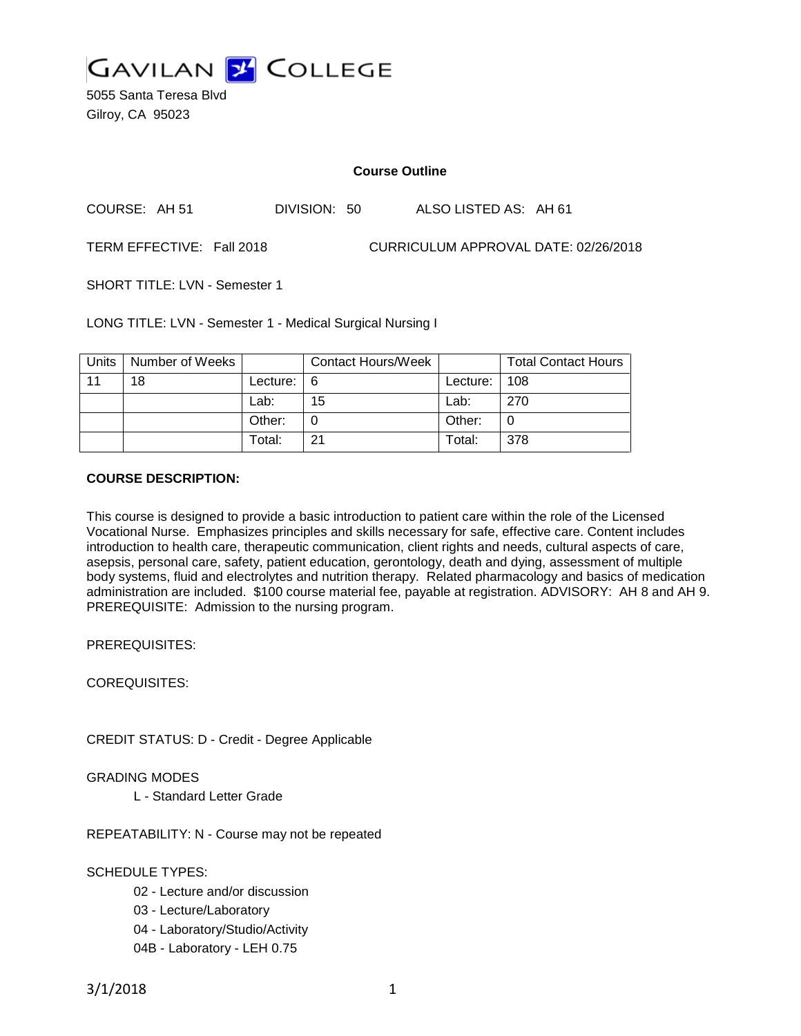

5055 Santa Teresa Blvd Gilroy, CA 95023

#### **Course Outline**

COURSE: AH 51 DIVISION: 50 ALSO LISTED AS: AH 61

TERM EFFECTIVE: Fall 2018 CURRICULUM APPROVAL DATE: 02/26/2018

SHORT TITLE: LVN - Semester 1

LONG TITLE: LVN - Semester 1 - Medical Surgical Nursing I

| Units | Number of Weeks |                     | <b>Contact Hours/Week</b> |          | <b>Total Contact Hours</b> |
|-------|-----------------|---------------------|---------------------------|----------|----------------------------|
| 11    | 18              | Lecture: $\sqrt{6}$ |                           | Lecture: | 108                        |
|       |                 | Lab:                | 15                        | Lab:     | 270                        |
|       |                 | Other:              |                           | Other:   |                            |
|       |                 | Total:              | 21                        | Total:   | 378                        |

#### **COURSE DESCRIPTION:**

This course is designed to provide a basic introduction to patient care within the role of the Licensed Vocational Nurse. Emphasizes principles and skills necessary for safe, effective care. Content includes introduction to health care, therapeutic communication, client rights and needs, cultural aspects of care, asepsis, personal care, safety, patient education, gerontology, death and dying, assessment of multiple body systems, fluid and electrolytes and nutrition therapy. Related pharmacology and basics of medication administration are included. \$100 course material fee, payable at registration. ADVISORY: AH 8 and AH 9. PREREQUISITE: Admission to the nursing program.

PREREQUISITES:

COREQUISITES:

CREDIT STATUS: D - Credit - Degree Applicable

GRADING MODES

L - Standard Letter Grade

REPEATABILITY: N - Course may not be repeated

#### SCHEDULE TYPES:

- 02 Lecture and/or discussion
- 03 Lecture/Laboratory
- 04 Laboratory/Studio/Activity
- 04B Laboratory LEH 0.75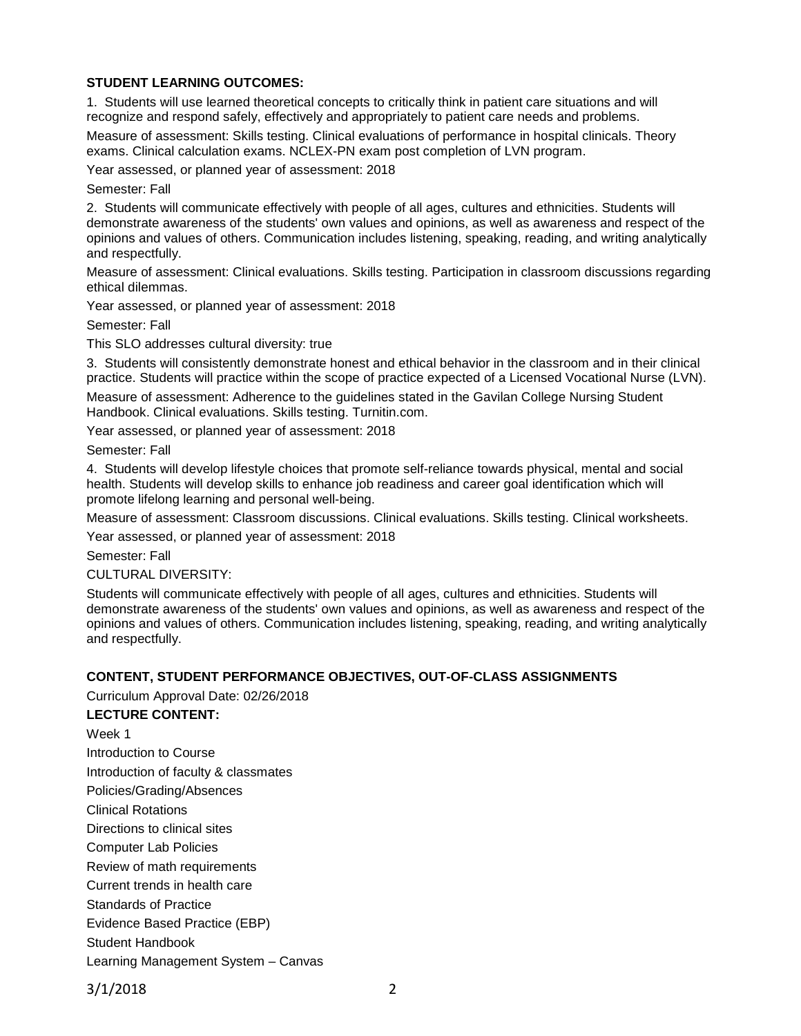# **STUDENT LEARNING OUTCOMES:**

1. Students will use learned theoretical concepts to critically think in patient care situations and will recognize and respond safely, effectively and appropriately to patient care needs and problems.

Measure of assessment: Skills testing. Clinical evaluations of performance in hospital clinicals. Theory exams. Clinical calculation exams. NCLEX-PN exam post completion of LVN program.

Year assessed, or planned year of assessment: 2018

Semester: Fall

2. Students will communicate effectively with people of all ages, cultures and ethnicities. Students will demonstrate awareness of the students' own values and opinions, as well as awareness and respect of the opinions and values of others. Communication includes listening, speaking, reading, and writing analytically and respectfully.

Measure of assessment: Clinical evaluations. Skills testing. Participation in classroom discussions regarding ethical dilemmas.

Year assessed, or planned year of assessment: 2018

Semester: Fall

This SLO addresses cultural diversity: true

3. Students will consistently demonstrate honest and ethical behavior in the classroom and in their clinical practice. Students will practice within the scope of practice expected of a Licensed Vocational Nurse (LVN).

Measure of assessment: Adherence to the guidelines stated in the Gavilan College Nursing Student Handbook. Clinical evaluations. Skills testing. Turnitin.com.

Year assessed, or planned year of assessment: 2018

Semester: Fall

4. Students will develop lifestyle choices that promote self-reliance towards physical, mental and social health. Students will develop skills to enhance job readiness and career goal identification which will promote lifelong learning and personal well-being.

Measure of assessment: Classroom discussions. Clinical evaluations. Skills testing. Clinical worksheets.

Year assessed, or planned year of assessment: 2018

Semester: Fall

CULTURAL DIVERSITY:

Students will communicate effectively with people of all ages, cultures and ethnicities. Students will demonstrate awareness of the students' own values and opinions, as well as awareness and respect of the opinions and values of others. Communication includes listening, speaking, reading, and writing analytically and respectfully.

#### **CONTENT, STUDENT PERFORMANCE OBJECTIVES, OUT-OF-CLASS ASSIGNMENTS**

Curriculum Approval Date: 02/26/2018

#### **LECTURE CONTENT:**

Week 1 Introduction to Course Introduction of faculty & classmates Policies/Grading/Absences Clinical Rotations Directions to clinical sites Computer Lab Policies Review of math requirements Current trends in health care Standards of Practice Evidence Based Practice (EBP) Student Handbook Learning Management System – Canvas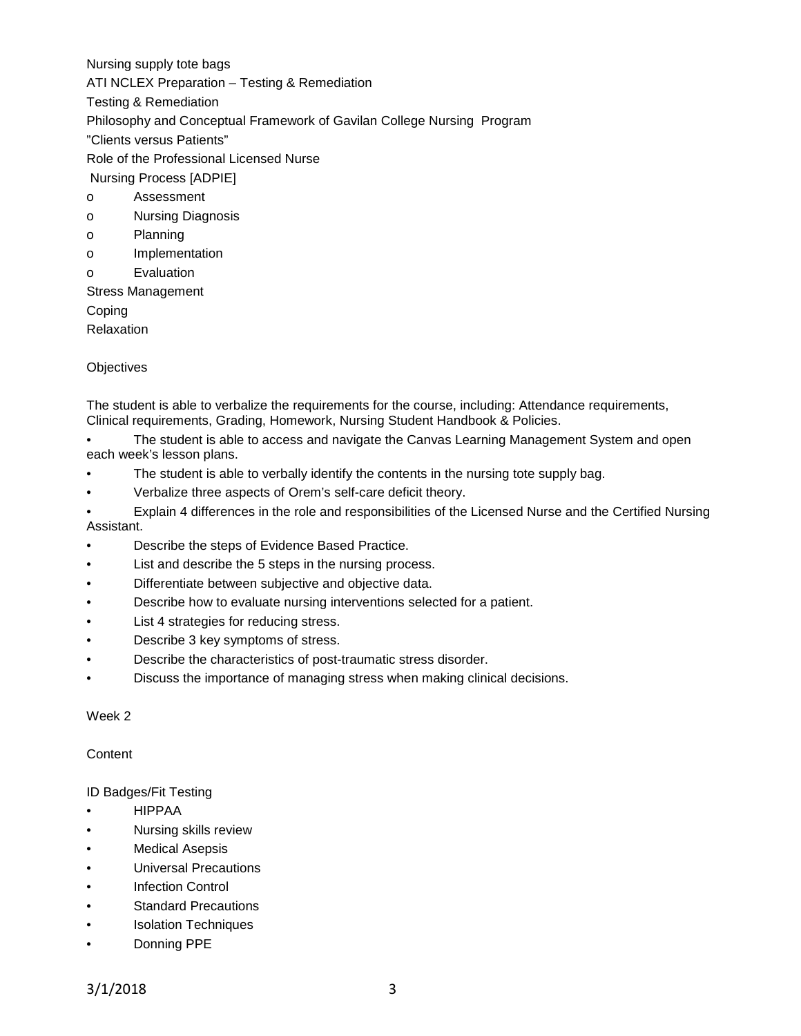Nursing supply tote bags ATI NCLEX Preparation – Testing & Remediation Testing & Remediation Philosophy and Conceptual Framework of Gavilan College Nursing Program "Clients versus Patients" Role of the Professional Licensed Nurse Nursing Process [ADPIE] o Assessment o Nursing Diagnosis o Planning o Implementation o Evaluation Stress Management Coping

Relaxation

#### **Objectives**

The student is able to verbalize the requirements for the course, including: Attendance requirements, Clinical requirements, Grading, Homework, Nursing Student Handbook & Policies.

• The student is able to access and navigate the Canvas Learning Management System and open each week's lesson plans.

- The student is able to verbally identify the contents in the nursing tote supply bag.
- Verbalize three aspects of Orem's self-care deficit theory.

• Explain 4 differences in the role and responsibilities of the Licensed Nurse and the Certified Nursing Assistant.

- Describe the steps of Evidence Based Practice.
- List and describe the 5 steps in the nursing process.
- Differentiate between subjective and objective data.
- Describe how to evaluate nursing interventions selected for a patient.
- List 4 strategies for reducing stress.
- Describe 3 key symptoms of stress.
- Describe the characteristics of post-traumatic stress disorder.
- Discuss the importance of managing stress when making clinical decisions.

#### Week 2

# **Content**

# ID Badges/Fit Testing

- HIPPAA
- Nursing skills review
- **Medical Asepsis**
- Universal Precautions
- **Infection Control**
- **Standard Precautions**
- Isolation Techniques
- Donning PPE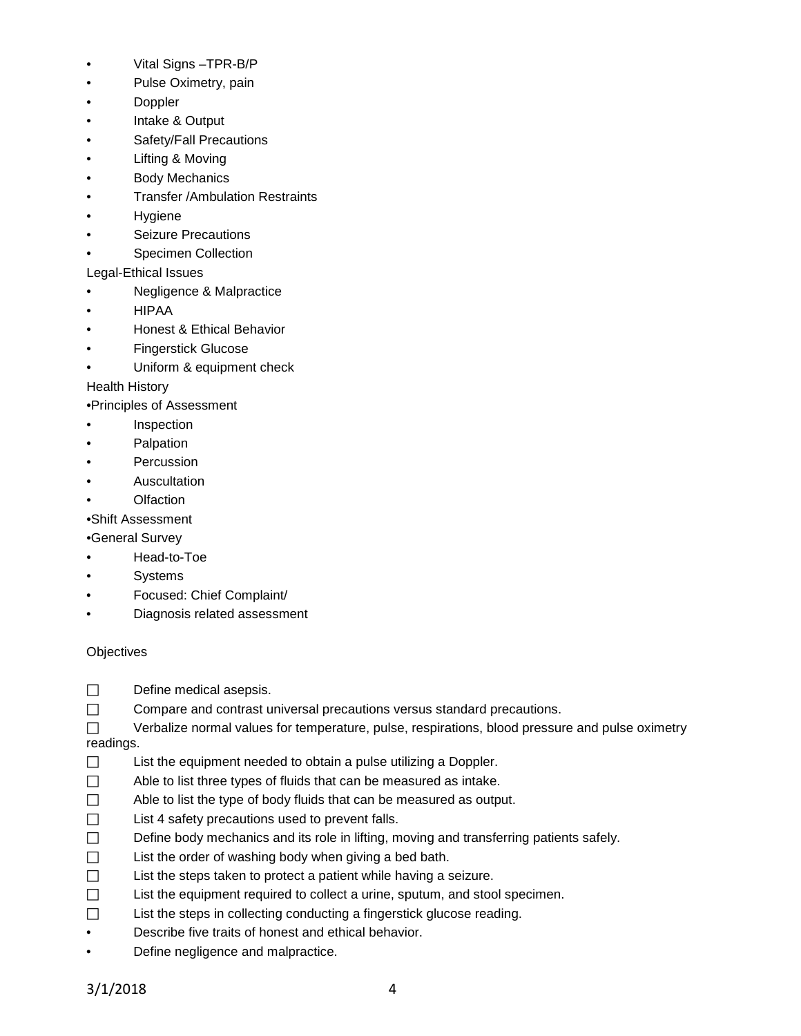- Vital Signs –TPR-B/P
- Pulse Oximetry, pain
- Doppler
- Intake & Output
- Safety/Fall Precautions
- Lifting & Moving
- **Body Mechanics**
- Transfer /Ambulation Restraints
- Hygiene
- Seizure Precautions
- Specimen Collection
- Legal-Ethical Issues
- Negligence & Malpractice
- HIPAA
- Honest & Ethical Behavior
- Fingerstick Glucose
- Uniform & equipment check

Health History

•Principles of Assessment

- Inspection
- **Palpation**
- **Percussion**
- **Auscultation**
- **Olfaction**

•Shift Assessment

•General Survey

- Head-to-Toe
- Systems
- Focused: Chief Complaint/
- Diagnosis related assessment

# **Objectives**

- $\Box$  Define medical asepsis.
- Compare and contrast universal precautions versus standard precautions.

 $\Box$  Verbalize normal values for temperature, pulse, respirations, blood pressure and pulse oximetry readings.

- $\Box$  List the equipment needed to obtain a pulse utilizing a Doppler.
- $\Box$  Able to list three types of fluids that can be measured as intake.
- $\Box$  Able to list the type of body fluids that can be measured as output.
- $\Box$  List 4 safety precautions used to prevent falls.
- $\Box$  Define body mechanics and its role in lifting, moving and transferring patients safely.
- $\Box$  List the order of washing body when giving a bed bath.
- $\Box$  List the steps taken to protect a patient while having a seizure.
- $\Box$  List the equipment required to collect a urine, sputum, and stool specimen.
- $\Box$  List the steps in collecting conducting a fingerstick glucose reading.
- Describe five traits of honest and ethical behavior.
- Define negligence and malpractice.

3/1/2018 4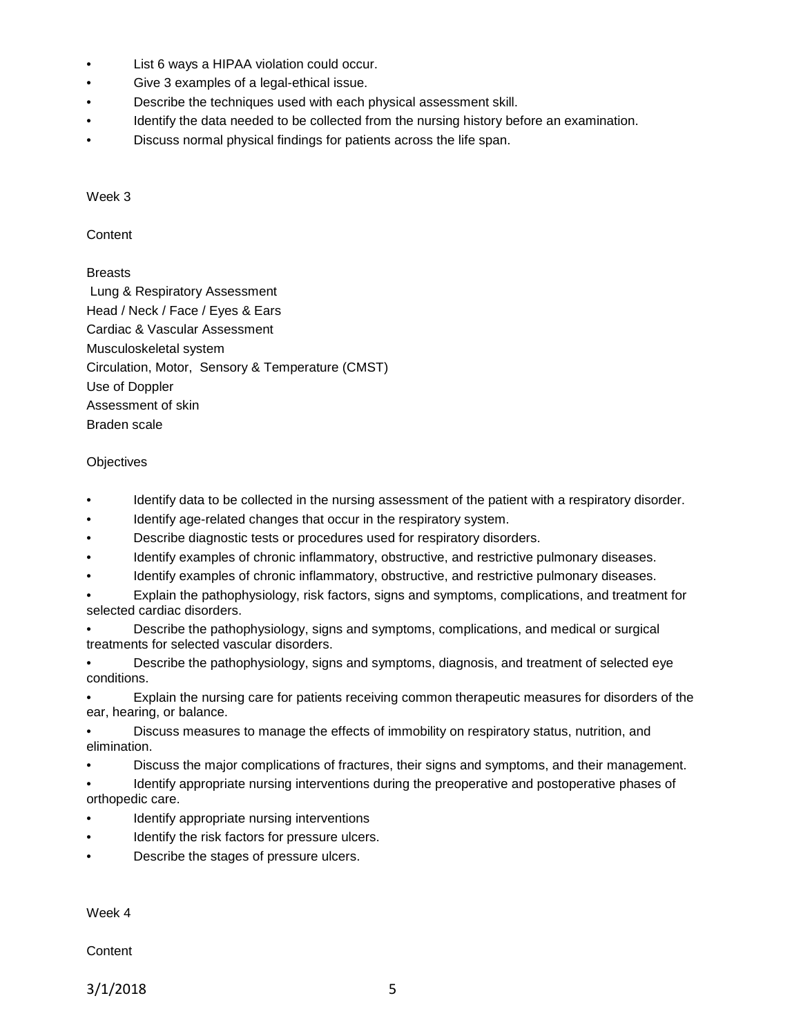- List 6 ways a HIPAA violation could occur.
- Give 3 examples of a legal-ethical issue.
- Describe the techniques used with each physical assessment skill.
- Identify the data needed to be collected from the nursing history before an examination.
- Discuss normal physical findings for patients across the life span.

#### Week 3

**Content** 

# Breasts

Lung & Respiratory Assessment Head / Neck / Face / Eyes & Ears Cardiac & Vascular Assessment Musculoskeletal system Circulation, Motor, Sensory & Temperature (CMST) Use of Doppler Assessment of skin Braden scale

# **Objectives**

- Identify data to be collected in the nursing assessment of the patient with a respiratory disorder.
- Identify age-related changes that occur in the respiratory system.
- Describe diagnostic tests or procedures used for respiratory disorders.
- Identify examples of chronic inflammatory, obstructive, and restrictive pulmonary diseases.
- Identify examples of chronic inflammatory, obstructive, and restrictive pulmonary diseases.

• Explain the pathophysiology, risk factors, signs and symptoms, complications, and treatment for selected cardiac disorders.

• Describe the pathophysiology, signs and symptoms, complications, and medical or surgical treatments for selected vascular disorders.

• Describe the pathophysiology, signs and symptoms, diagnosis, and treatment of selected eye conditions.

• Explain the nursing care for patients receiving common therapeutic measures for disorders of the ear, hearing, or balance.

• Discuss measures to manage the effects of immobility on respiratory status, nutrition, and elimination.

• Discuss the major complications of fractures, their signs and symptoms, and their management.

• Identify appropriate nursing interventions during the preoperative and postoperative phases of orthopedic care.

- Identify appropriate nursing interventions
- Identify the risk factors for pressure ulcers.
- Describe the stages of pressure ulcers.

Week 4

**Content** 

3/1/2018 5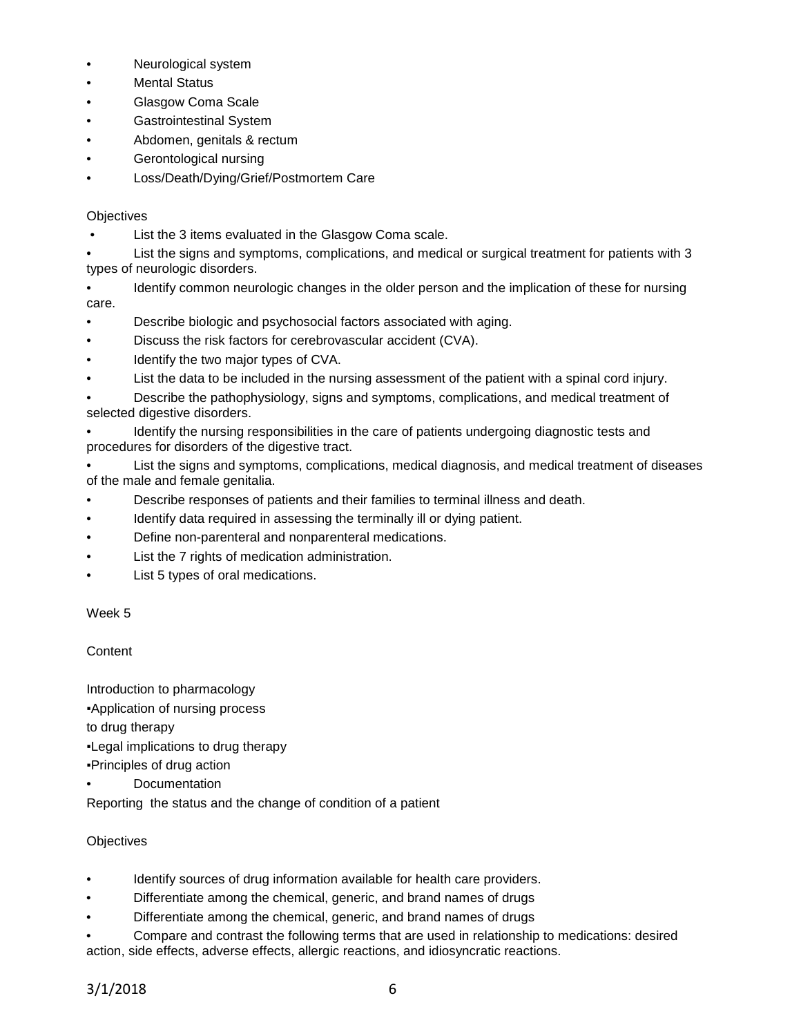- Neurological system
- **Mental Status**
- Glasgow Coma Scale
- Gastrointestinal System
- Abdomen, genitals & rectum
- Gerontological nursing
- Loss/Death/Dying/Grief/Postmortem Care

# **Objectives**

- List the 3 items evaluated in the Glasgow Coma scale.
- List the signs and symptoms, complications, and medical or surgical treatment for patients with 3 types of neurologic disorders.
- Identify common neurologic changes in the older person and the implication of these for nursing care.
- Describe biologic and psychosocial factors associated with aging.
- Discuss the risk factors for cerebrovascular accident (CVA).
- Identify the two major types of CVA.
- List the data to be included in the nursing assessment of the patient with a spinal cord injury.
- Describe the pathophysiology, signs and symptoms, complications, and medical treatment of selected digestive disorders.
- Identify the nursing responsibilities in the care of patients undergoing diagnostic tests and procedures for disorders of the digestive tract.
- List the signs and symptoms, complications, medical diagnosis, and medical treatment of diseases of the male and female genitalia.
- Describe responses of patients and their families to terminal illness and death.
- Identify data required in assessing the terminally ill or dying patient.
- Define non-parenteral and nonparenteral medications.
- List the 7 rights of medication administration.
- List 5 types of oral medications.

# Week 5

# **Content**

Introduction to pharmacology

▪Application of nursing process

to drug therapy

- ▪Legal implications to drug therapy
- ▪Principles of drug action
- **Documentation**

Reporting the status and the change of condition of a patient

# **Objectives**

- Identify sources of drug information available for health care providers.
- Differentiate among the chemical, generic, and brand names of drugs
- Differentiate among the chemical, generic, and brand names of drugs

• Compare and contrast the following terms that are used in relationship to medications: desired action, side effects, adverse effects, allergic reactions, and idiosyncratic reactions.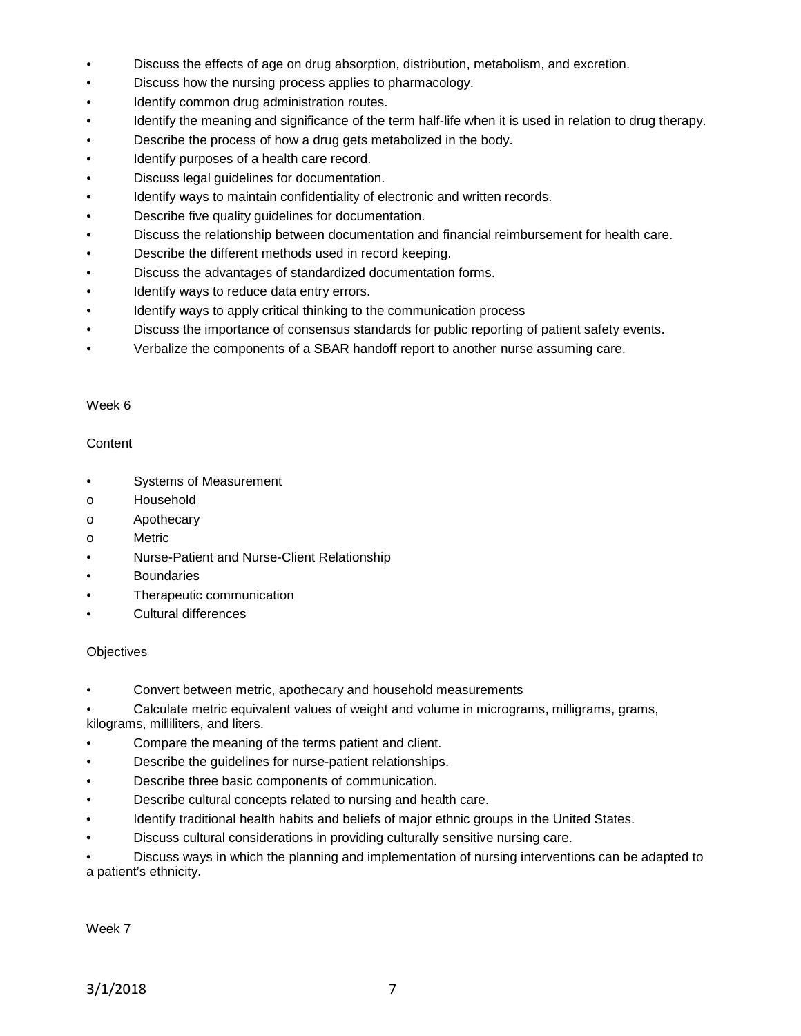- Discuss the effects of age on drug absorption, distribution, metabolism, and excretion.
- Discuss how the nursing process applies to pharmacology.
- Identify common drug administration routes.
- Identify the meaning and significance of the term half-life when it is used in relation to drug therapy.
- Describe the process of how a drug gets metabolized in the body.
- Identify purposes of a health care record.
- Discuss legal guidelines for documentation.
- Identify ways to maintain confidentiality of electronic and written records.
- Describe five quality guidelines for documentation.
- Discuss the relationship between documentation and financial reimbursement for health care.
- Describe the different methods used in record keeping.
- Discuss the advantages of standardized documentation forms.
- Identify ways to reduce data entry errors.
- Identify ways to apply critical thinking to the communication process
- Discuss the importance of consensus standards for public reporting of patient safety events.
- Verbalize the components of a SBAR handoff report to another nurse assuming care.

#### Week 6

#### **Content**

- Systems of Measurement
- o Household
- o Apothecary
- o Metric
- Nurse-Patient and Nurse-Client Relationship
- **Boundaries**
- Therapeutic communication
- Cultural differences

# **Objectives**

• Convert between metric, apothecary and household measurements

• Calculate metric equivalent values of weight and volume in micrograms, milligrams, grams,

kilograms, milliliters, and liters.

- Compare the meaning of the terms patient and client.
- Describe the guidelines for nurse-patient relationships.
- Describe three basic components of communication.
- Describe cultural concepts related to nursing and health care.
- Identify traditional health habits and beliefs of major ethnic groups in the United States.
- Discuss cultural considerations in providing culturally sensitive nursing care.

• Discuss ways in which the planning and implementation of nursing interventions can be adapted to a patient's ethnicity.

Week 7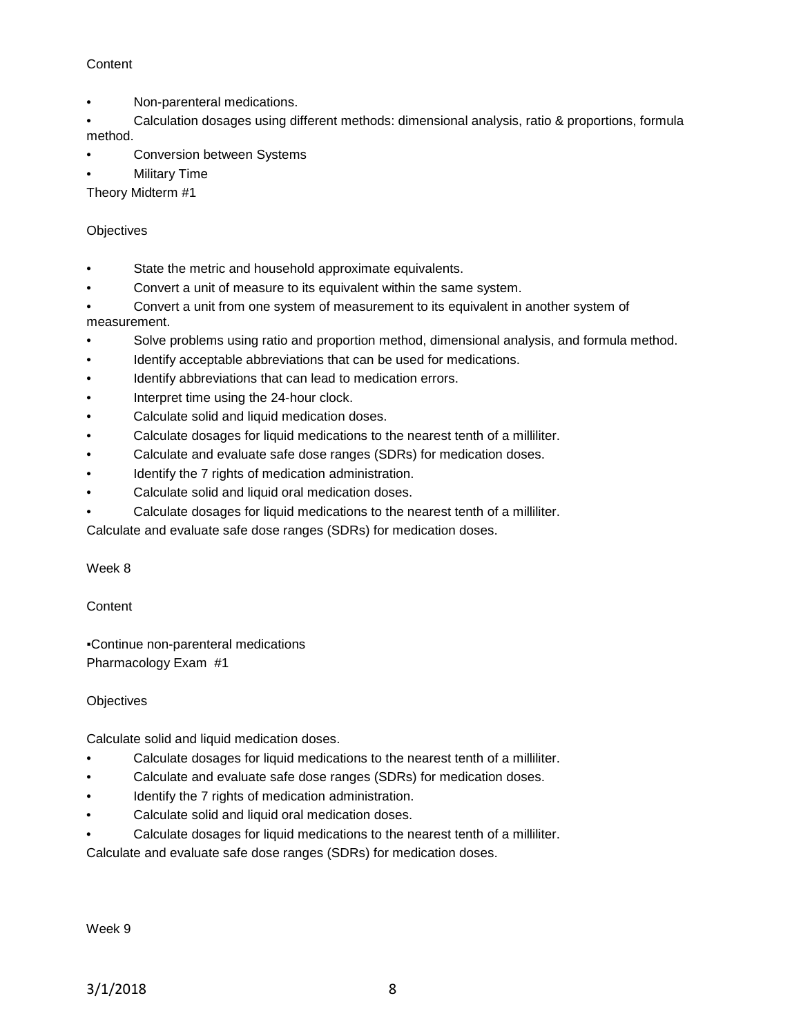# **Content**

- Non-parenteral medications.
- Calculation dosages using different methods: dimensional analysis, ratio & proportions, formula method.
- Conversion between Systems
- **Military Time**

Theory Midterm #1

# **Objectives**

- State the metric and household approximate equivalents.
- Convert a unit of measure to its equivalent within the same system.
- Convert a unit from one system of measurement to its equivalent in another system of measurement.
- Solve problems using ratio and proportion method, dimensional analysis, and formula method.
- Identify acceptable abbreviations that can be used for medications.
- Identify abbreviations that can lead to medication errors.
- Interpret time using the 24-hour clock.
- Calculate solid and liquid medication doses.
- Calculate dosages for liquid medications to the nearest tenth of a milliliter.
- Calculate and evaluate safe dose ranges (SDRs) for medication doses.
- Identify the 7 rights of medication administration.
- Calculate solid and liquid oral medication doses.
- Calculate dosages for liquid medications to the nearest tenth of a milliliter.

Calculate and evaluate safe dose ranges (SDRs) for medication doses.

# Week 8

# **Content**

▪Continue non-parenteral medications Pharmacology Exam #1

# **Objectives**

Calculate solid and liquid medication doses.

- Calculate dosages for liquid medications to the nearest tenth of a milliliter.
- Calculate and evaluate safe dose ranges (SDRs) for medication doses.
- Identify the 7 rights of medication administration.
- Calculate solid and liquid oral medication doses.
- Calculate dosages for liquid medications to the nearest tenth of a milliliter.

Calculate and evaluate safe dose ranges (SDRs) for medication doses.

Week 9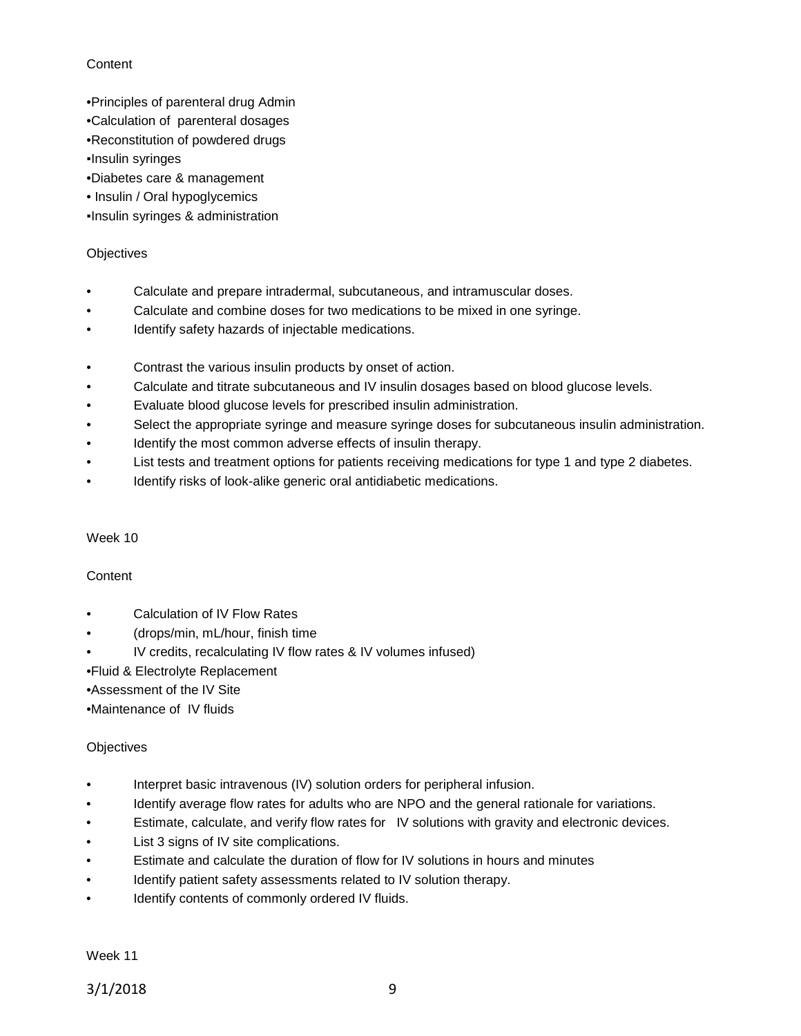# **Content**

- •Principles of parenteral drug Admin
- •Calculation of parenteral dosages
- •Reconstitution of powdered drugs
- ▪Insulin syringes
- •Diabetes care & management
- Insulin / Oral hypoglycemics

▪Insulin syringes & administration

# **Objectives**

- Calculate and prepare intradermal, subcutaneous, and intramuscular doses.
- Calculate and combine doses for two medications to be mixed in one syringe.
- Identify safety hazards of injectable medications.
- Contrast the various insulin products by onset of action.
- Calculate and titrate subcutaneous and IV insulin dosages based on blood glucose levels.
- Evaluate blood glucose levels for prescribed insulin administration.
- Select the appropriate syringe and measure syringe doses for subcutaneous insulin administration.
- Identify the most common adverse effects of insulin therapy.
- List tests and treatment options for patients receiving medications for type 1 and type 2 diabetes.
- Identify risks of look-alike generic oral antidiabetic medications.

# Week 10

# **Content**

- Calculation of IV Flow Rates
- (drops/min, mL/hour, finish time
- IV credits, recalculating IV flow rates & IV volumes infused)
- •Fluid & Electrolyte Replacement
- •Assessment of the IV Site
- •Maintenance of IV fluids

# **Objectives**

- Interpret basic intravenous (IV) solution orders for peripheral infusion.
- Identify average flow rates for adults who are NPO and the general rationale for variations.
- Estimate, calculate, and verify flow rates for IV solutions with gravity and electronic devices.
- List 3 signs of IV site complications.
- Estimate and calculate the duration of flow for IV solutions in hours and minutes
- Identify patient safety assessments related to IV solution therapy.
- Identify contents of commonly ordered IV fluids.

Week 11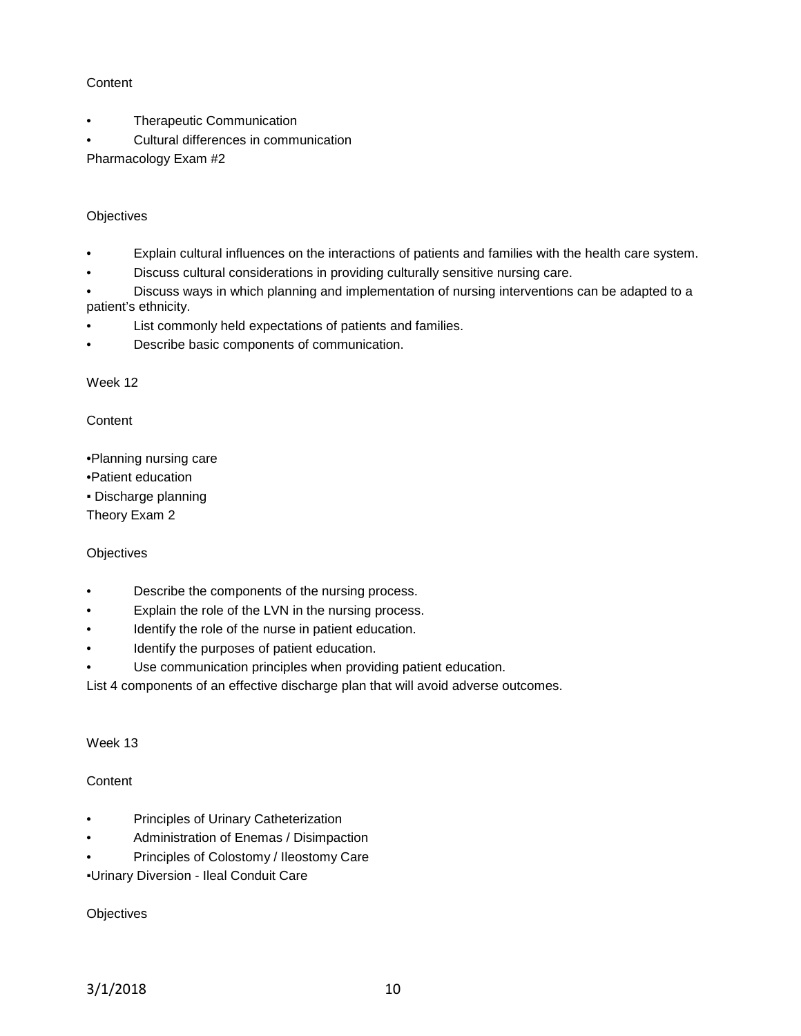# **Content**

- Therapeutic Communication
- Cultural differences in communication

Pharmacology Exam #2

# **Objectives**

- Explain cultural influences on the interactions of patients and families with the health care system.
- Discuss cultural considerations in providing culturally sensitive nursing care.

• Discuss ways in which planning and implementation of nursing interventions can be adapted to a patient's ethnicity.

- List commonly held expectations of patients and families.
- Describe basic components of communication.

Week 12

**Content** 

- •Planning nursing care
- •Patient education
- Discharge planning

Theory Exam 2

# **Objectives**

- Describe the components of the nursing process.
- Explain the role of the LVN in the nursing process.
- Identify the role of the nurse in patient education.
- Identify the purposes of patient education.
- Use communication principles when providing patient education.

List 4 components of an effective discharge plan that will avoid adverse outcomes.

Week 13

# **Content**

- Principles of Urinary Catheterization
- Administration of Enemas / Disimpaction
- Principles of Colostomy / Ileostomy Care

▪Urinary Diversion - Ileal Conduit Care

**Objectives**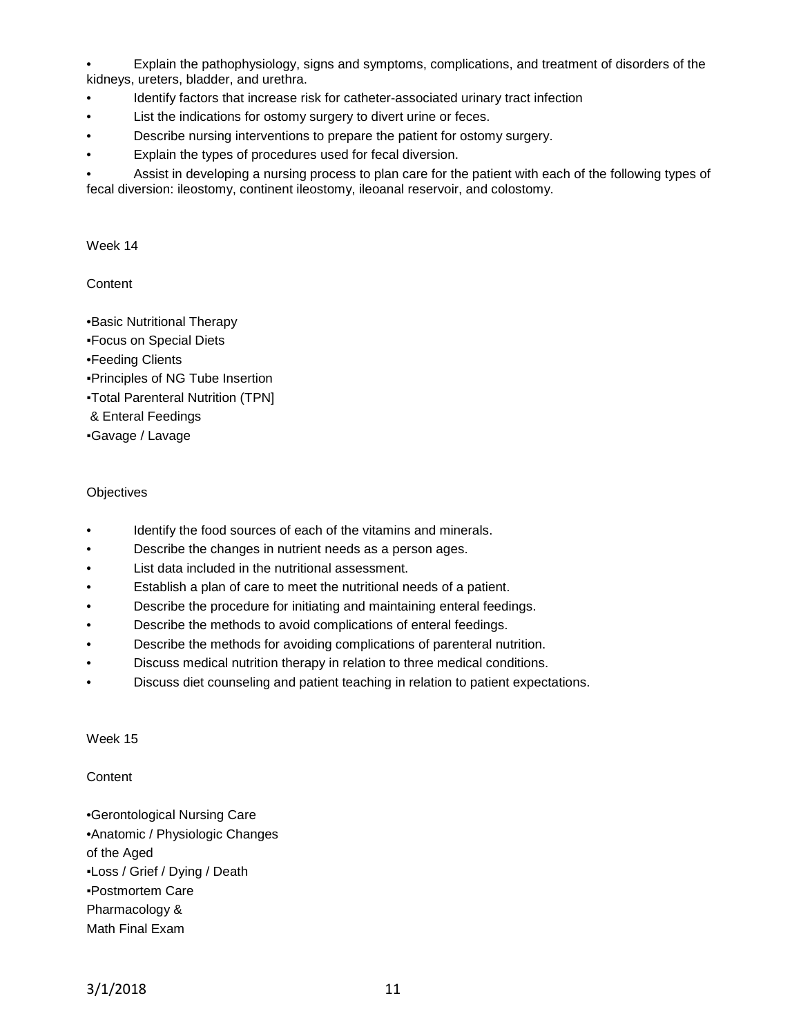• Explain the pathophysiology, signs and symptoms, complications, and treatment of disorders of the kidneys, ureters, bladder, and urethra.

- Identify factors that increase risk for catheter-associated urinary tract infection
- List the indications for ostomy surgery to divert urine or feces.
- Describe nursing interventions to prepare the patient for ostomy surgery.
- Explain the types of procedures used for fecal diversion.

• Assist in developing a nursing process to plan care for the patient with each of the following types of fecal diversion: ileostomy, continent ileostomy, ileoanal reservoir, and colostomy.

Week 14

**Content** 

•Basic Nutritional Therapy

- ▪Focus on Special Diets
- •Feeding Clients
- ▪Principles of NG Tube Insertion
- ▪Total Parenteral Nutrition (TPN]
- & Enteral Feedings
- ▪Gavage / Lavage

#### **Objectives**

- Identify the food sources of each of the vitamins and minerals.
- Describe the changes in nutrient needs as a person ages.
- List data included in the nutritional assessment.
- Establish a plan of care to meet the nutritional needs of a patient.
- Describe the procedure for initiating and maintaining enteral feedings.
- Describe the methods to avoid complications of enteral feedings.
- Describe the methods for avoiding complications of parenteral nutrition.
- Discuss medical nutrition therapy in relation to three medical conditions.
- Discuss diet counseling and patient teaching in relation to patient expectations.

Week 15

**Content** 

- •Gerontological Nursing Care •Anatomic / Physiologic Changes of the Aged ▪Loss / Grief / Dying / Death ▪Postmortem Care
- Pharmacology &
- Math Final Exam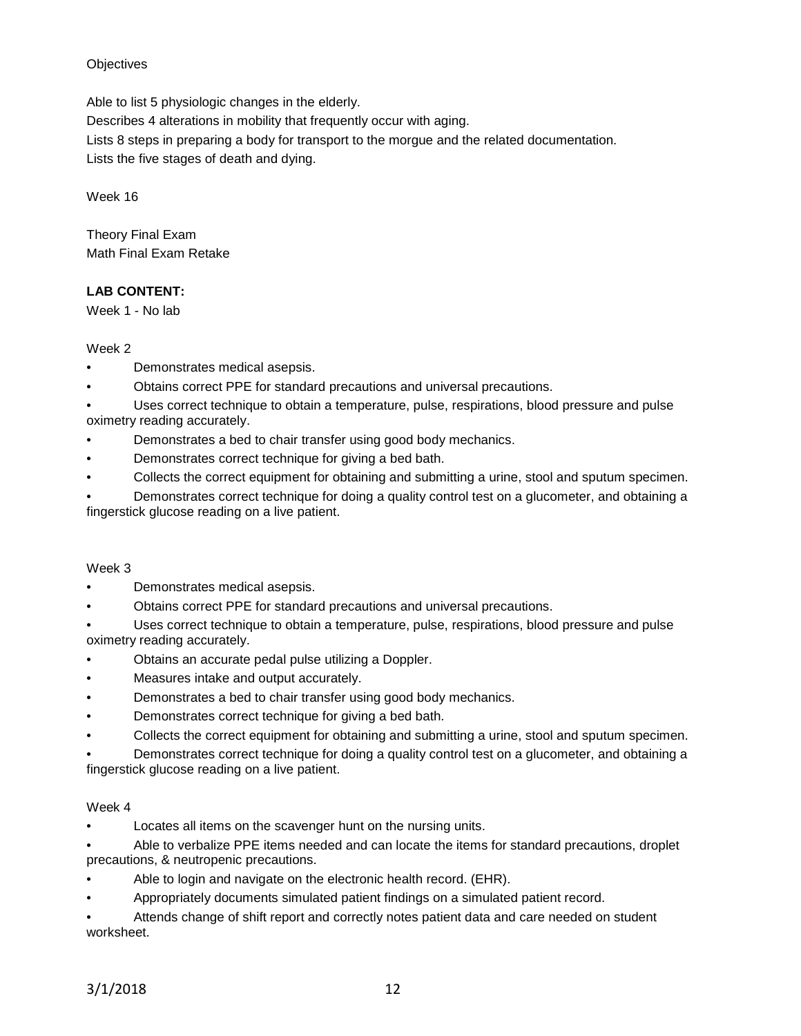# **Objectives**

Able to list 5 physiologic changes in the elderly.

Describes 4 alterations in mobility that frequently occur with aging.

Lists 8 steps in preparing a body for transport to the morgue and the related documentation.

Lists the five stages of death and dying.

Week 16

Theory Final Exam Math Final Exam Retake

# **LAB CONTENT:**

Week 1 - No lab

# Week 2

- Demonstrates medical asepsis.
- Obtains correct PPE for standard precautions and universal precautions.
- Uses correct technique to obtain a temperature, pulse, respirations, blood pressure and pulse oximetry reading accurately.
- Demonstrates a bed to chair transfer using good body mechanics.
- Demonstrates correct technique for giving a bed bath.
- Collects the correct equipment for obtaining and submitting a urine, stool and sputum specimen.

• Demonstrates correct technique for doing a quality control test on a glucometer, and obtaining a fingerstick glucose reading on a live patient.

# Week 3

- Demonstrates medical asepsis.
- Obtains correct PPE for standard precautions and universal precautions.

• Uses correct technique to obtain a temperature, pulse, respirations, blood pressure and pulse oximetry reading accurately.

- Obtains an accurate pedal pulse utilizing a Doppler.
- Measures intake and output accurately.
- Demonstrates a bed to chair transfer using good body mechanics.
- Demonstrates correct technique for giving a bed bath.
- Collects the correct equipment for obtaining and submitting a urine, stool and sputum specimen.

• Demonstrates correct technique for doing a quality control test on a glucometer, and obtaining a fingerstick glucose reading on a live patient.

# Week 4

Locates all items on the scavenger hunt on the nursing units.

• Able to verbalize PPE items needed and can locate the items for standard precautions, droplet precautions, & neutropenic precautions.

- Able to login and navigate on the electronic health record. (EHR).
- Appropriately documents simulated patient findings on a simulated patient record.

• Attends change of shift report and correctly notes patient data and care needed on student worksheet.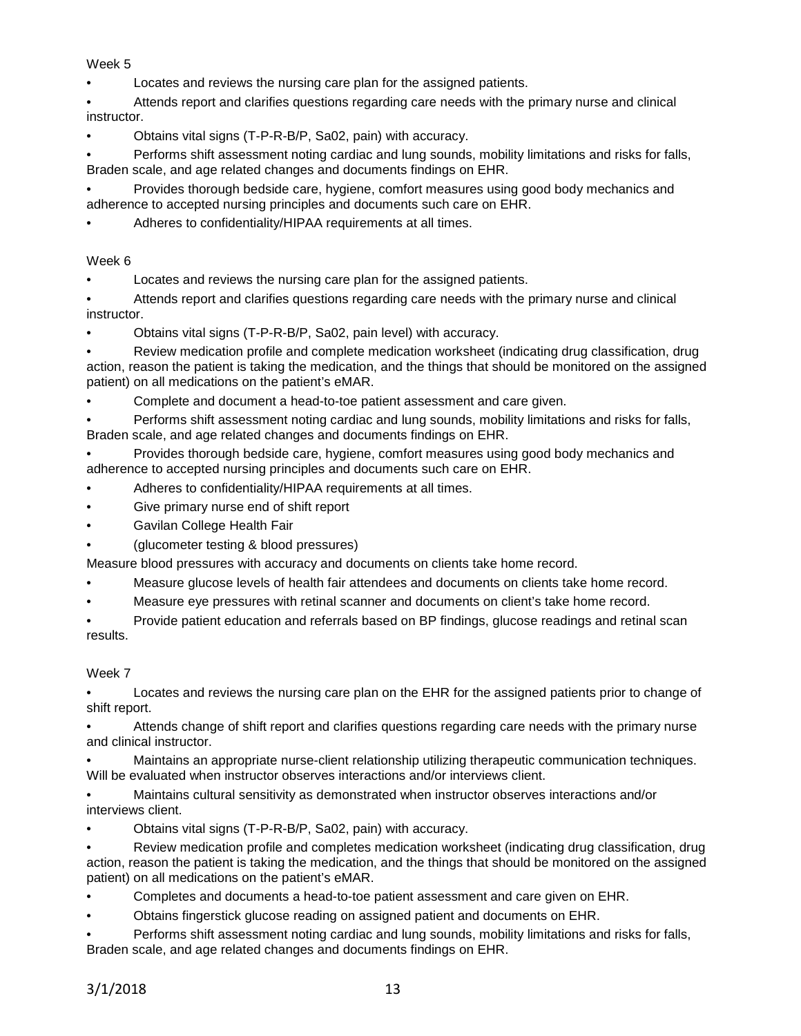Week 5

• Locates and reviews the nursing care plan for the assigned patients.

• Attends report and clarifies questions regarding care needs with the primary nurse and clinical instructor.

• Obtains vital signs (T-P-R-B/P, Sa02, pain) with accuracy.

• Performs shift assessment noting cardiac and lung sounds, mobility limitations and risks for falls, Braden scale, and age related changes and documents findings on EHR.

• Provides thorough bedside care, hygiene, comfort measures using good body mechanics and adherence to accepted nursing principles and documents such care on EHR.

Adheres to confidentiality/HIPAA requirements at all times.

Week 6

Locates and reviews the nursing care plan for the assigned patients.

• Attends report and clarifies questions regarding care needs with the primary nurse and clinical instructor.

• Obtains vital signs (T-P-R-B/P, Sa02, pain level) with accuracy.

• Review medication profile and complete medication worksheet (indicating drug classification, drug action, reason the patient is taking the medication, and the things that should be monitored on the assigned patient) on all medications on the patient's eMAR.

• Complete and document a head-to-toe patient assessment and care given.

• Performs shift assessment noting cardiac and lung sounds, mobility limitations and risks for falls, Braden scale, and age related changes and documents findings on EHR.

• Provides thorough bedside care, hygiene, comfort measures using good body mechanics and adherence to accepted nursing principles and documents such care on EHR.

- Adheres to confidentiality/HIPAA requirements at all times.
- Give primary nurse end of shift report
- Gavilan College Health Fair
- (glucometer testing & blood pressures)

Measure blood pressures with accuracy and documents on clients take home record.

- Measure glucose levels of health fair attendees and documents on clients take home record.
- Measure eye pressures with retinal scanner and documents on client's take home record.

• Provide patient education and referrals based on BP findings, glucose readings and retinal scan results.

Week 7

• Locates and reviews the nursing care plan on the EHR for the assigned patients prior to change of shift report.

• Attends change of shift report and clarifies questions regarding care needs with the primary nurse and clinical instructor.

• Maintains an appropriate nurse-client relationship utilizing therapeutic communication techniques. Will be evaluated when instructor observes interactions and/or interviews client.

• Maintains cultural sensitivity as demonstrated when instructor observes interactions and/or interviews client.

• Obtains vital signs (T-P-R-B/P, Sa02, pain) with accuracy.

• Review medication profile and completes medication worksheet (indicating drug classification, drug action, reason the patient is taking the medication, and the things that should be monitored on the assigned patient) on all medications on the patient's eMAR.

• Completes and documents a head-to-toe patient assessment and care given on EHR.

• Obtains fingerstick glucose reading on assigned patient and documents on EHR.

• Performs shift assessment noting cardiac and lung sounds, mobility limitations and risks for falls, Braden scale, and age related changes and documents findings on EHR.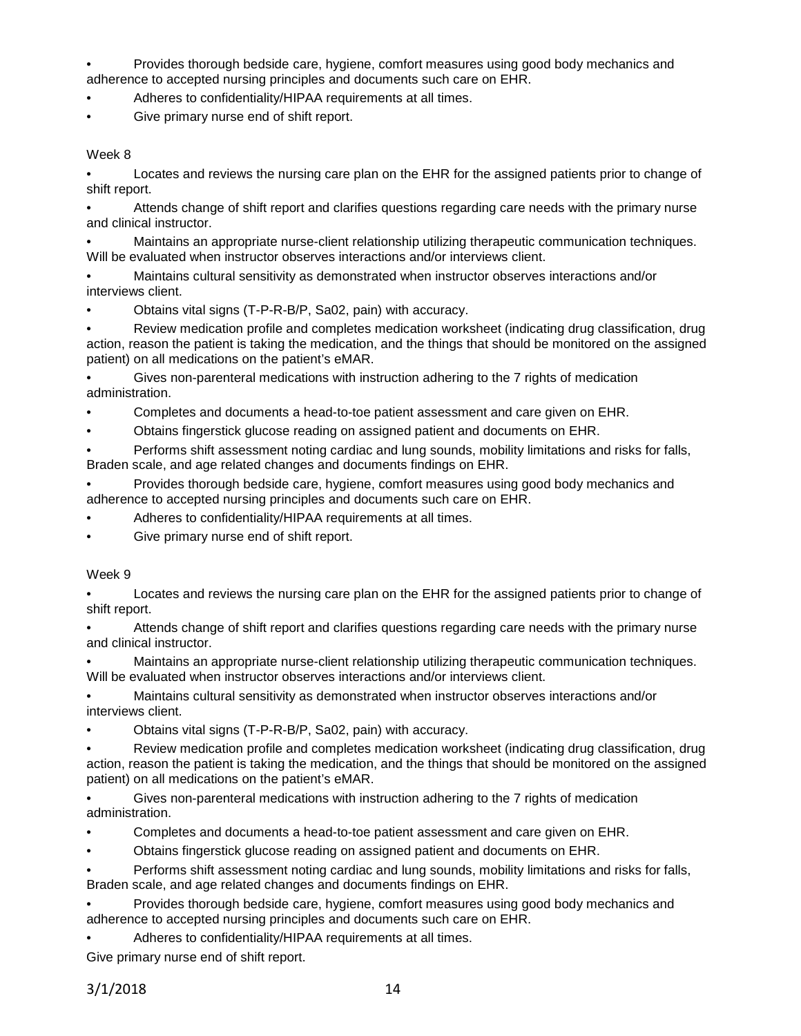• Provides thorough bedside care, hygiene, comfort measures using good body mechanics and adherence to accepted nursing principles and documents such care on EHR.

Adheres to confidentiality/HIPAA requirements at all times.

• Give primary nurse end of shift report.

Week 8

• Locates and reviews the nursing care plan on the EHR for the assigned patients prior to change of shift report.

• Attends change of shift report and clarifies questions regarding care needs with the primary nurse and clinical instructor.

• Maintains an appropriate nurse-client relationship utilizing therapeutic communication techniques. Will be evaluated when instructor observes interactions and/or interviews client.

• Maintains cultural sensitivity as demonstrated when instructor observes interactions and/or interviews client.

• Obtains vital signs (T-P-R-B/P, Sa02, pain) with accuracy.

• Review medication profile and completes medication worksheet (indicating drug classification, drug action, reason the patient is taking the medication, and the things that should be monitored on the assigned patient) on all medications on the patient's eMAR.

• Gives non-parenteral medications with instruction adhering to the 7 rights of medication administration.

- Completes and documents a head-to-toe patient assessment and care given on EHR.
- Obtains fingerstick glucose reading on assigned patient and documents on EHR.

• Performs shift assessment noting cardiac and lung sounds, mobility limitations and risks for falls, Braden scale, and age related changes and documents findings on EHR.

• Provides thorough bedside care, hygiene, comfort measures using good body mechanics and adherence to accepted nursing principles and documents such care on EHR.

- Adheres to confidentiality/HIPAA requirements at all times.
- Give primary nurse end of shift report.

#### Week 9

• Locates and reviews the nursing care plan on the EHR for the assigned patients prior to change of shift report.

• Attends change of shift report and clarifies questions regarding care needs with the primary nurse and clinical instructor.

• Maintains an appropriate nurse-client relationship utilizing therapeutic communication techniques. Will be evaluated when instructor observes interactions and/or interviews client.

• Maintains cultural sensitivity as demonstrated when instructor observes interactions and/or interviews client.

• Obtains vital signs (T-P-R-B/P, Sa02, pain) with accuracy.

• Review medication profile and completes medication worksheet (indicating drug classification, drug action, reason the patient is taking the medication, and the things that should be monitored on the assigned patient) on all medications on the patient's eMAR.

• Gives non-parenteral medications with instruction adhering to the 7 rights of medication administration.

- Completes and documents a head-to-toe patient assessment and care given on EHR.
- Obtains fingerstick glucose reading on assigned patient and documents on EHR.

• Performs shift assessment noting cardiac and lung sounds, mobility limitations and risks for falls, Braden scale, and age related changes and documents findings on EHR.

• Provides thorough bedside care, hygiene, comfort measures using good body mechanics and adherence to accepted nursing principles and documents such care on EHR.

Adheres to confidentiality/HIPAA requirements at all times.

Give primary nurse end of shift report.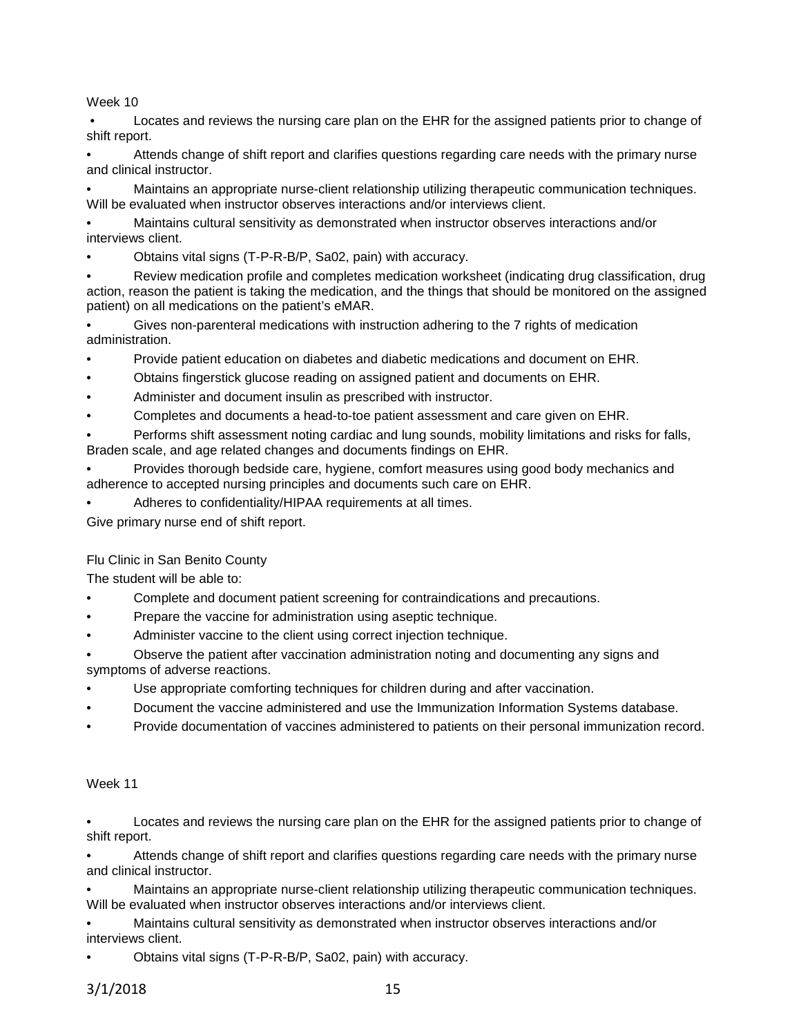Week 10

• Locates and reviews the nursing care plan on the EHR for the assigned patients prior to change of shift report.

• Attends change of shift report and clarifies questions regarding care needs with the primary nurse and clinical instructor.

• Maintains an appropriate nurse-client relationship utilizing therapeutic communication techniques. Will be evaluated when instructor observes interactions and/or interviews client.

• Maintains cultural sensitivity as demonstrated when instructor observes interactions and/or interviews client.

• Obtains vital signs (T-P-R-B/P, Sa02, pain) with accuracy.

• Review medication profile and completes medication worksheet (indicating drug classification, drug action, reason the patient is taking the medication, and the things that should be monitored on the assigned patient) on all medications on the patient's eMAR.

• Gives non-parenteral medications with instruction adhering to the 7 rights of medication administration.

• Provide patient education on diabetes and diabetic medications and document on EHR.

- Obtains fingerstick glucose reading on assigned patient and documents on EHR.
- Administer and document insulin as prescribed with instructor.
- Completes and documents a head-to-toe patient assessment and care given on EHR.
- Performs shift assessment noting cardiac and lung sounds, mobility limitations and risks for falls, Braden scale, and age related changes and documents findings on EHR.
- Provides thorough bedside care, hygiene, comfort measures using good body mechanics and adherence to accepted nursing principles and documents such care on EHR.
- Adheres to confidentiality/HIPAA requirements at all times.

Give primary nurse end of shift report.

# Flu Clinic in San Benito County

The student will be able to:

- Complete and document patient screening for contraindications and precautions.
- Prepare the vaccine for administration using aseptic technique.
- Administer vaccine to the client using correct injection technique.
- Observe the patient after vaccination administration noting and documenting any signs and symptoms of adverse reactions.
- Use appropriate comforting techniques for children during and after vaccination.
- Document the vaccine administered and use the Immunization Information Systems database.
- Provide documentation of vaccines administered to patients on their personal immunization record.

# Week 11

• Locates and reviews the nursing care plan on the EHR for the assigned patients prior to change of shift report.

• Attends change of shift report and clarifies questions regarding care needs with the primary nurse and clinical instructor.

• Maintains an appropriate nurse-client relationship utilizing therapeutic communication techniques. Will be evaluated when instructor observes interactions and/or interviews client.

• Maintains cultural sensitivity as demonstrated when instructor observes interactions and/or interviews client.

• Obtains vital signs (T-P-R-B/P, Sa02, pain) with accuracy.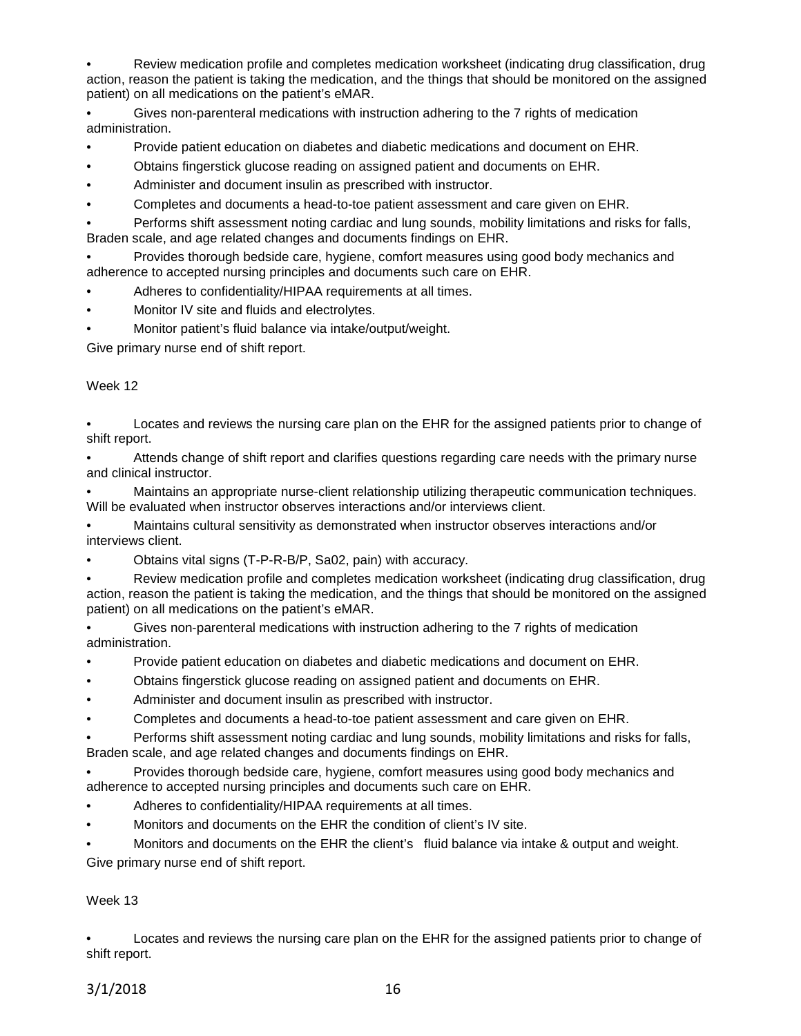• Review medication profile and completes medication worksheet (indicating drug classification, drug action, reason the patient is taking the medication, and the things that should be monitored on the assigned patient) on all medications on the patient's eMAR.

• Gives non-parenteral medications with instruction adhering to the 7 rights of medication administration.

- Provide patient education on diabetes and diabetic medications and document on EHR.
- Obtains fingerstick glucose reading on assigned patient and documents on EHR.
- Administer and document insulin as prescribed with instructor.
- Completes and documents a head-to-toe patient assessment and care given on EHR.

• Performs shift assessment noting cardiac and lung sounds, mobility limitations and risks for falls, Braden scale, and age related changes and documents findings on EHR.

• Provides thorough bedside care, hygiene, comfort measures using good body mechanics and adherence to accepted nursing principles and documents such care on EHR.

- Adheres to confidentiality/HIPAA requirements at all times.
- Monitor IV site and fluids and electrolytes.
- Monitor patient's fluid balance via intake/output/weight.

Give primary nurse end of shift report.

#### Week 12

• Locates and reviews the nursing care plan on the EHR for the assigned patients prior to change of shift report.

• Attends change of shift report and clarifies questions regarding care needs with the primary nurse and clinical instructor.

• Maintains an appropriate nurse-client relationship utilizing therapeutic communication techniques. Will be evaluated when instructor observes interactions and/or interviews client.

• Maintains cultural sensitivity as demonstrated when instructor observes interactions and/or interviews client.

- Obtains vital signs (T-P-R-B/P, Sa02, pain) with accuracy.
- Review medication profile and completes medication worksheet (indicating drug classification, drug action, reason the patient is taking the medication, and the things that should be monitored on the assigned patient) on all medications on the patient's eMAR.

• Gives non-parenteral medications with instruction adhering to the 7 rights of medication administration.

- Provide patient education on diabetes and diabetic medications and document on EHR.
- Obtains fingerstick glucose reading on assigned patient and documents on EHR.
- Administer and document insulin as prescribed with instructor.
- Completes and documents a head-to-toe patient assessment and care given on EHR.

• Performs shift assessment noting cardiac and lung sounds, mobility limitations and risks for falls, Braden scale, and age related changes and documents findings on EHR.

• Provides thorough bedside care, hygiene, comfort measures using good body mechanics and adherence to accepted nursing principles and documents such care on EHR.

- Adheres to confidentiality/HIPAA requirements at all times.
- Monitors and documents on the EHR the condition of client's IV site.

• Monitors and documents on the EHR the client's fluid balance via intake & output and weight. Give primary nurse end of shift report.

# Week 13

• Locates and reviews the nursing care plan on the EHR for the assigned patients prior to change of shift report.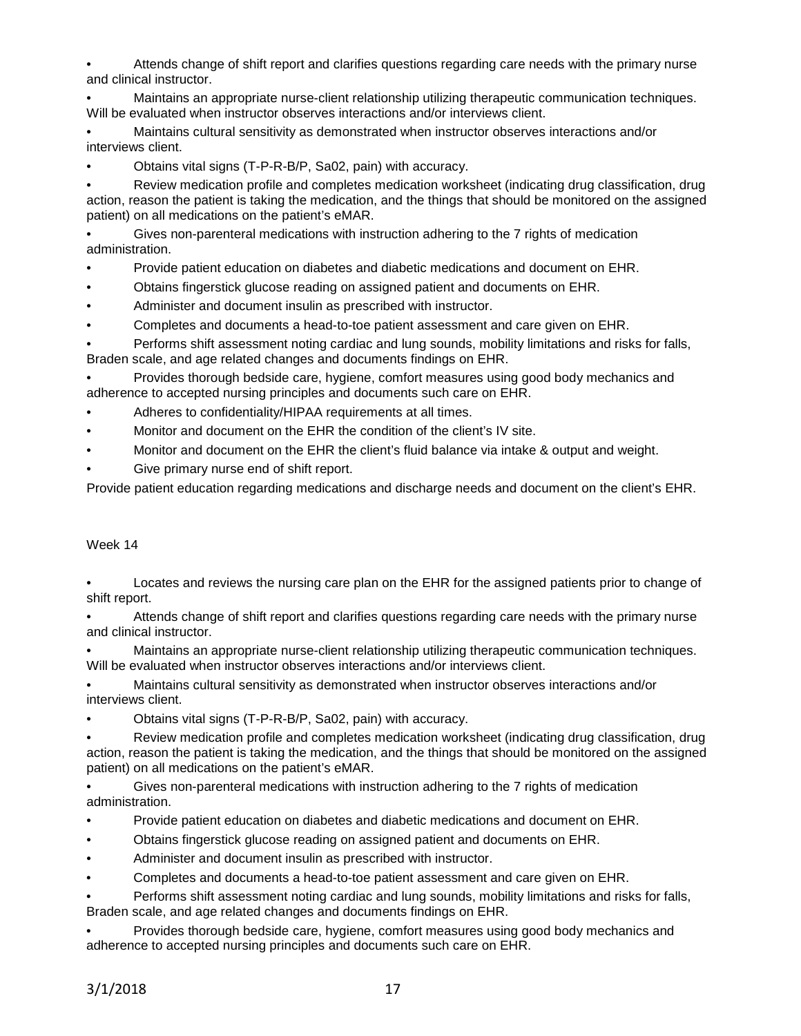• Attends change of shift report and clarifies questions regarding care needs with the primary nurse and clinical instructor.

• Maintains an appropriate nurse-client relationship utilizing therapeutic communication techniques. Will be evaluated when instructor observes interactions and/or interviews client.

• Maintains cultural sensitivity as demonstrated when instructor observes interactions and/or interviews client.

• Obtains vital signs (T-P-R-B/P, Sa02, pain) with accuracy.

• Review medication profile and completes medication worksheet (indicating drug classification, drug action, reason the patient is taking the medication, and the things that should be monitored on the assigned patient) on all medications on the patient's eMAR.

• Gives non-parenteral medications with instruction adhering to the 7 rights of medication administration.

• Provide patient education on diabetes and diabetic medications and document on EHR.

- Obtains fingerstick glucose reading on assigned patient and documents on EHR.
- Administer and document insulin as prescribed with instructor.
- Completes and documents a head-to-toe patient assessment and care given on EHR.

• Performs shift assessment noting cardiac and lung sounds, mobility limitations and risks for falls, Braden scale, and age related changes and documents findings on EHR.

• Provides thorough bedside care, hygiene, comfort measures using good body mechanics and adherence to accepted nursing principles and documents such care on EHR.

- Adheres to confidentiality/HIPAA requirements at all times.
- Monitor and document on the EHR the condition of the client's IV site.
- Monitor and document on the EHR the client's fluid balance via intake & output and weight.
- Give primary nurse end of shift report.

Provide patient education regarding medications and discharge needs and document on the client's EHR.

# Week 14

• Locates and reviews the nursing care plan on the EHR for the assigned patients prior to change of shift report.

• Attends change of shift report and clarifies questions regarding care needs with the primary nurse and clinical instructor.

• Maintains an appropriate nurse-client relationship utilizing therapeutic communication techniques. Will be evaluated when instructor observes interactions and/or interviews client.

• Maintains cultural sensitivity as demonstrated when instructor observes interactions and/or interviews client.

• Obtains vital signs (T-P-R-B/P, Sa02, pain) with accuracy.

• Review medication profile and completes medication worksheet (indicating drug classification, drug action, reason the patient is taking the medication, and the things that should be monitored on the assigned patient) on all medications on the patient's eMAR.

• Gives non-parenteral medications with instruction adhering to the 7 rights of medication administration.

- Provide patient education on diabetes and diabetic medications and document on EHR.
- Obtains fingerstick glucose reading on assigned patient and documents on EHR.
- Administer and document insulin as prescribed with instructor.
- Completes and documents a head-to-toe patient assessment and care given on EHR.

• Performs shift assessment noting cardiac and lung sounds, mobility limitations and risks for falls, Braden scale, and age related changes and documents findings on EHR.

• Provides thorough bedside care, hygiene, comfort measures using good body mechanics and adherence to accepted nursing principles and documents such care on EHR.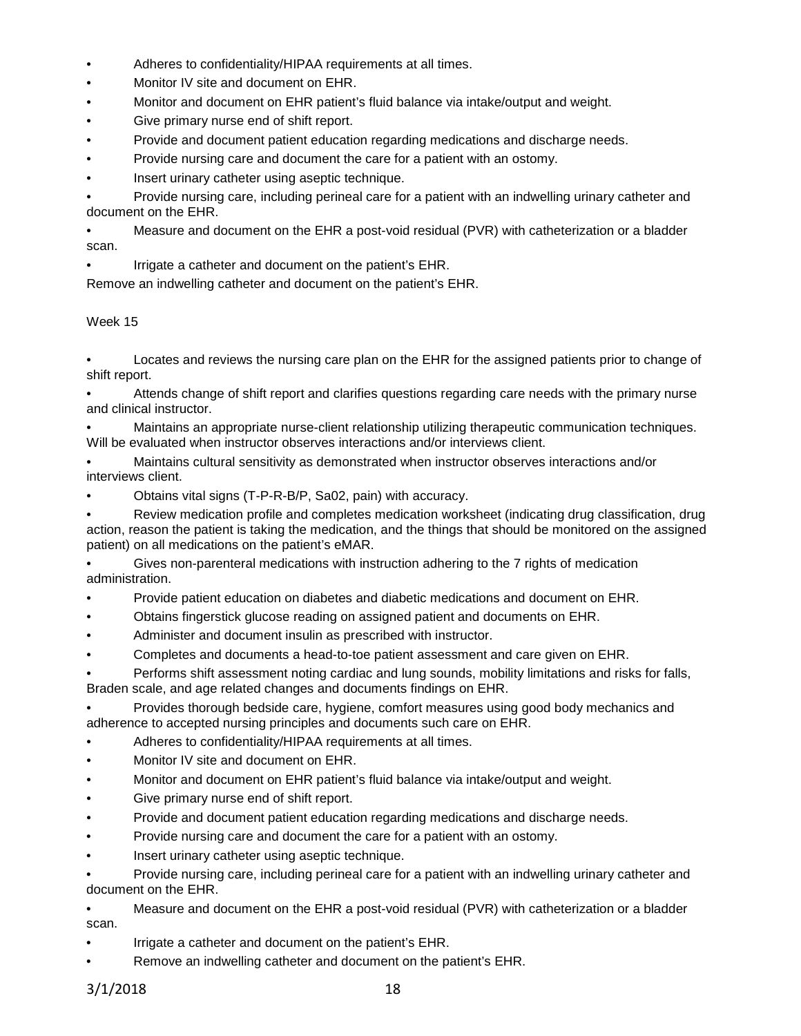- Adheres to confidentiality/HIPAA requirements at all times.
- Monitor IV site and document on EHR.
- Monitor and document on EHR patient's fluid balance via intake/output and weight.
- Give primary nurse end of shift report.
- Provide and document patient education regarding medications and discharge needs.
- Provide nursing care and document the care for a patient with an ostomy.
- Insert urinary catheter using aseptic technique.

• Provide nursing care, including perineal care for a patient with an indwelling urinary catheter and document on the EHR.

• Measure and document on the EHR a post-void residual (PVR) with catheterization or a bladder scan.

• Irrigate a catheter and document on the patient's EHR.

Remove an indwelling catheter and document on the patient's EHR.

# Week 15

• Locates and reviews the nursing care plan on the EHR for the assigned patients prior to change of shift report.

• Attends change of shift report and clarifies questions regarding care needs with the primary nurse and clinical instructor.

• Maintains an appropriate nurse-client relationship utilizing therapeutic communication techniques. Will be evaluated when instructor observes interactions and/or interviews client.

• Maintains cultural sensitivity as demonstrated when instructor observes interactions and/or interviews client.

• Obtains vital signs (T-P-R-B/P, Sa02, pain) with accuracy.

• Review medication profile and completes medication worksheet (indicating drug classification, drug action, reason the patient is taking the medication, and the things that should be monitored on the assigned patient) on all medications on the patient's eMAR.

• Gives non-parenteral medications with instruction adhering to the 7 rights of medication administration.

- Provide patient education on diabetes and diabetic medications and document on EHR.
- Obtains fingerstick glucose reading on assigned patient and documents on EHR.
- Administer and document insulin as prescribed with instructor.
- Completes and documents a head-to-toe patient assessment and care given on EHR.

• Performs shift assessment noting cardiac and lung sounds, mobility limitations and risks for falls, Braden scale, and age related changes and documents findings on EHR.

• Provides thorough bedside care, hygiene, comfort measures using good body mechanics and adherence to accepted nursing principles and documents such care on EHR.

- Adheres to confidentiality/HIPAA requirements at all times.
- Monitor IV site and document on EHR.
- Monitor and document on EHR patient's fluid balance via intake/output and weight.
- Give primary nurse end of shift report.
- Provide and document patient education regarding medications and discharge needs.
- Provide nursing care and document the care for a patient with an ostomy.
- Insert urinary catheter using aseptic technique.

• Provide nursing care, including perineal care for a patient with an indwelling urinary catheter and document on the EHR.

• Measure and document on the EHR a post-void residual (PVR) with catheterization or a bladder scan.

- Irrigate a catheter and document on the patient's EHR.
- Remove an indwelling catheter and document on the patient's EHR.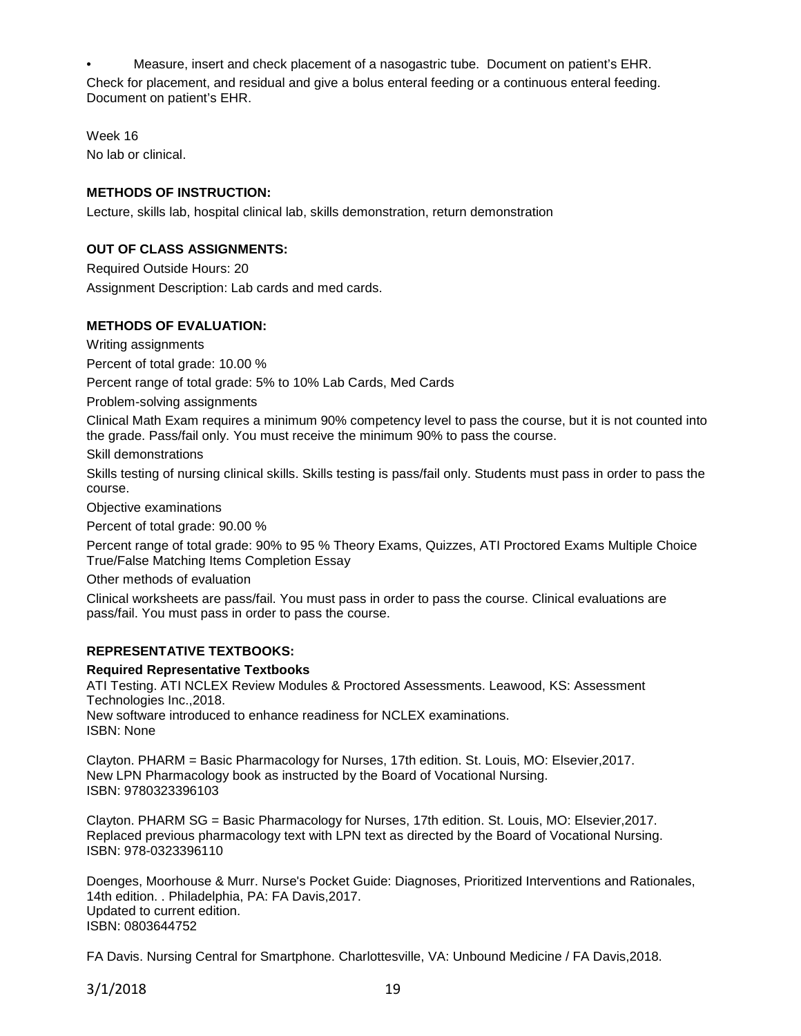• Measure, insert and check placement of a nasogastric tube. Document on patient's EHR. Check for placement, and residual and give a bolus enteral feeding or a continuous enteral feeding. Document on patient's EHR.

Week 16 No lab or clinical.

# **METHODS OF INSTRUCTION:**

Lecture, skills lab, hospital clinical lab, skills demonstration, return demonstration

# **OUT OF CLASS ASSIGNMENTS:**

Required Outside Hours: 20 Assignment Description: Lab cards and med cards.

#### **METHODS OF EVALUATION:**

Writing assignments

Percent of total grade: 10.00 %

Percent range of total grade: 5% to 10% Lab Cards, Med Cards

Problem-solving assignments

Clinical Math Exam requires a minimum 90% competency level to pass the course, but it is not counted into the grade. Pass/fail only. You must receive the minimum 90% to pass the course.

Skill demonstrations

Skills testing of nursing clinical skills. Skills testing is pass/fail only. Students must pass in order to pass the course.

Objective examinations

Percent of total grade: 90.00 %

Percent range of total grade: 90% to 95 % Theory Exams, Quizzes, ATI Proctored Exams Multiple Choice True/False Matching Items Completion Essay

Other methods of evaluation

Clinical worksheets are pass/fail. You must pass in order to pass the course. Clinical evaluations are pass/fail. You must pass in order to pass the course.

# **REPRESENTATIVE TEXTBOOKS:**

**Required Representative Textbooks**

ATI Testing. ATI NCLEX Review Modules & Proctored Assessments. Leawood, KS: Assessment Technologies Inc.,2018. New software introduced to enhance readiness for NCLEX examinations. ISBN: None

Clayton. PHARM = Basic Pharmacology for Nurses, 17th edition. St. Louis, MO: Elsevier,2017. New LPN Pharmacology book as instructed by the Board of Vocational Nursing. ISBN: 9780323396103

Clayton. PHARM SG = Basic Pharmacology for Nurses, 17th edition. St. Louis, MO: Elsevier,2017. Replaced previous pharmacology text with LPN text as directed by the Board of Vocational Nursing. ISBN: 978-0323396110

Doenges, Moorhouse & Murr. Nurse's Pocket Guide: Diagnoses, Prioritized Interventions and Rationales, 14th edition. . Philadelphia, PA: FA Davis,2017. Updated to current edition. ISBN: 0803644752

FA Davis. Nursing Central for Smartphone. Charlottesville, VA: Unbound Medicine / FA Davis,2018.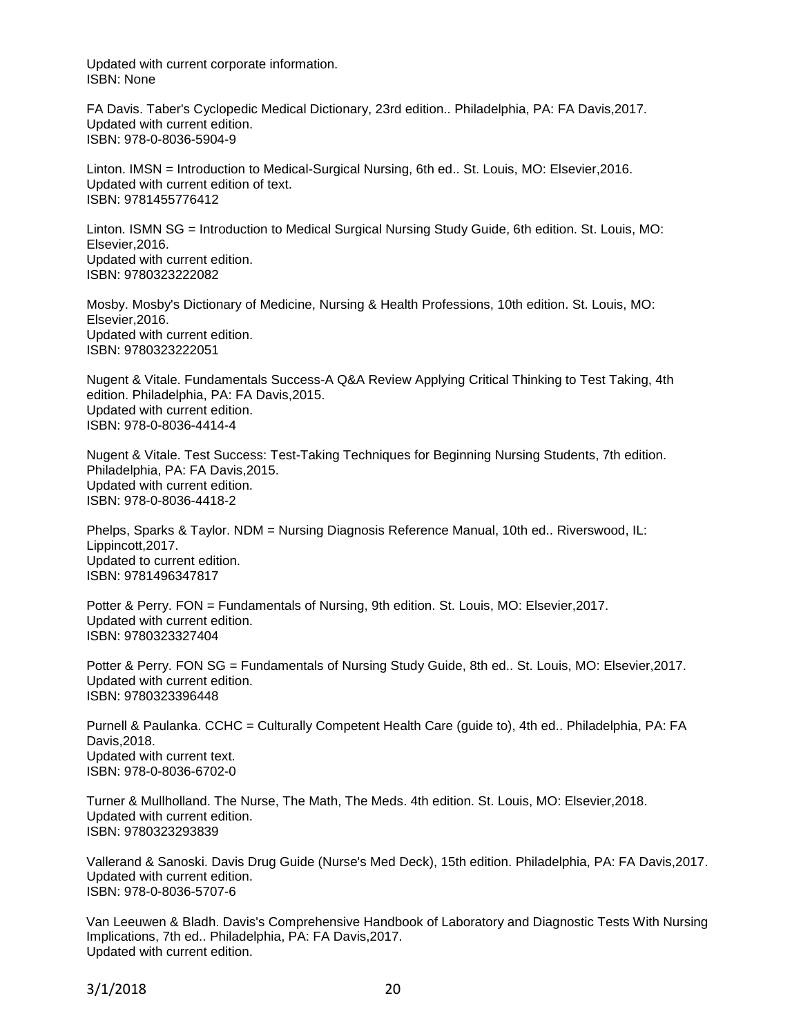Updated with current corporate information. ISBN: None

FA Davis. Taber's Cyclopedic Medical Dictionary, 23rd edition.. Philadelphia, PA: FA Davis,2017. Updated with current edition. ISBN: 978-0-8036-5904-9

Linton. IMSN = Introduction to Medical-Surgical Nursing, 6th ed.. St. Louis, MO: Elsevier,2016. Updated with current edition of text. ISBN: 9781455776412

Linton. ISMN SG = Introduction to Medical Surgical Nursing Study Guide, 6th edition. St. Louis, MO: Elsevier,2016. Updated with current edition. ISBN: 9780323222082

Mosby. Mosby's Dictionary of Medicine, Nursing & Health Professions, 10th edition. St. Louis, MO: Elsevier,2016. Updated with current edition. ISBN: 9780323222051

Nugent & Vitale. Fundamentals Success-A Q&A Review Applying Critical Thinking to Test Taking, 4th edition. Philadelphia, PA: FA Davis,2015. Updated with current edition. ISBN: 978-0-8036-4414-4

Nugent & Vitale. Test Success: Test-Taking Techniques for Beginning Nursing Students, 7th edition. Philadelphia, PA: FA Davis,2015. Updated with current edition. ISBN: 978-0-8036-4418-2

Phelps, Sparks & Taylor. NDM = Nursing Diagnosis Reference Manual, 10th ed.. Riverswood, IL: Lippincott,2017. Updated to current edition. ISBN: 9781496347817

Potter & Perry. FON = Fundamentals of Nursing, 9th edition. St. Louis, MO: Elsevier,2017. Updated with current edition. ISBN: 9780323327404

Potter & Perry. FON SG = Fundamentals of Nursing Study Guide, 8th ed.. St. Louis, MO: Elsevier,2017. Updated with current edition. ISBN: 9780323396448

Purnell & Paulanka. CCHC = Culturally Competent Health Care (guide to), 4th ed.. Philadelphia, PA: FA Davis,2018. Updated with current text. ISBN: 978-0-8036-6702-0

Turner & Mullholland. The Nurse, The Math, The Meds. 4th edition. St. Louis, MO: Elsevier,2018. Updated with current edition. ISBN: 9780323293839

Vallerand & Sanoski. Davis Drug Guide (Nurse's Med Deck), 15th edition. Philadelphia, PA: FA Davis,2017. Updated with current edition. ISBN: 978-0-8036-5707-6

Van Leeuwen & Bladh. Davis's Comprehensive Handbook of Laboratory and Diagnostic Tests With Nursing Implications, 7th ed.. Philadelphia, PA: FA Davis,2017. Updated with current edition.